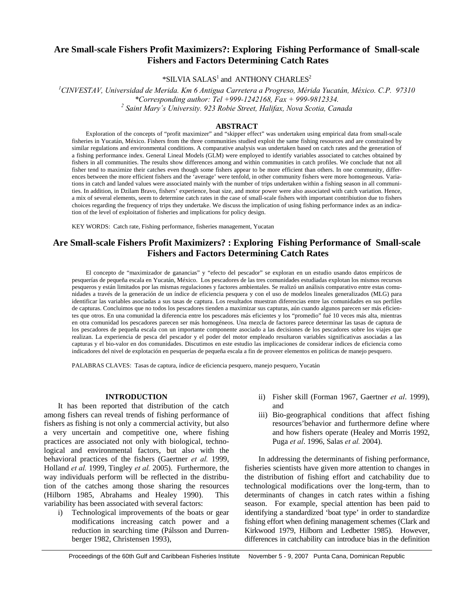# **Are Small-scale Fishers Profit Maximizers?: Exploring Fishing Performance of Small-scale Fishers and Factors Determining Catch Rates**

 $*$ SILVIA SALAS<sup>1</sup> and ANTHONY CHARLES<sup>2</sup>

*1 CINVESTAV, Universidad de Merida. Km 6 Antigua Carretera a Progreso, Mérida Yucatán, México. C.P. 97310 \*Corresponding author: Tel +999-1242168, Fax + 999-9812334. 2 Saint Mary´s University. 923 Robie Street, Halifax, Nova Scotia, Canada* 

# **ABSTRACT**

Exploration of the concepts of "profit maximizer" and "skipper effect" was undertaken using empirical data from small-scale fisheries in Yucatán, México. Fishers from the three communities studied exploit the same fishing resources and are constrained by similar regulations and environmental conditions. A comparative analysis was undertaken based on catch rates and the generation of a fishing performance index. General Lineal Models (GLM) were employed to identify variables associated to catches obtained by fishers in all communities. The results show differences among and within communities in catch profiles. We conclude that not all fisher tend to maximize their catches even though some fishers appear to be more efficient than others. In one community, differences between the more efficient fishers and the 'average' were tenfold, in other community fishers were more homogeneous. Variations in catch and landed values were associated mainly with the number of trips undertaken within a fishing season in all communities. In addition, in Dzilam Bravo, fishers' experience, boat size, and motor power were also associated with catch variation. Hence, a mix of several elements, seem to determine catch rates in the case of small-scale fishers with important contribiution due to fishers choices regarding the frequency of trips they undertake. We discuss the implication of using fishing performance index as an indication of the level of exploitation of fisheries and implications for policy design.

KEY WORDS: Catch rate, Fishing performance, fisheries management, Yucatan

# **Are Small-scale Fishers Profit Maximizers? : Exploring Fishing Performance of Small-scale Fishers and Factors Determining Catch Rates**

El concepto de "maximizador de ganancias" y "efecto del pescador" se exploran en un estudio usando datos empíricos de pesquerías de pequeña escala en Yucatán, México. Los pescadores de las tres comunidades estudiadas explotan los mismos recursos pesqueros y están limitados por las mismas regulaciones y factores ambientales. Se realizó un análisis comparativo entre estas comunidades a través de la generación de un índice de eficiencia pesquera y con el uso de modelos lineales generalizados (MLG) para identificar las variables asociadas a sus tasas de captura. Los resultados muestran diferencias entre las comunidades en sus perfiles de capturas. Concluimos que no todos los pescadores tienden a maximizar sus capturas, aún cuando algunos parecen ser más eficientes que otros. En una comunidad la diferencia entre los pescadores más eficientes y los "promedio" fué 10 veces más alta, mientras en otra comunidad los pescadores parecen ser más homogéneos. Una mezcla de factores parece determinar las tasas de captura de los pescadores de pequeña escala con un importante componente asociado a las decisiones de los pescadores sobre los viajes que realizan. La experiencia de pesca del pescador y el poder del motor empleado resultaron variables significativas asociadas a las capturas y el bio-valor en dos comunidades. Discutimos en este estudio las implicaciones de considerar índices de eficiencia como indicadores del nivel de explotación en pesquerías de pequeña escala a fin de proveer elementos en políticas de manejo pesquero.

PALABRAS CLAVES: Tasas de captura, índice de eficiencia pesquero, manejo pesquero, Yucatán

## **INTRODUCTION**

It has been reported that distribution of the catch among fishers can reveal trends of fishing performance of fishers as fishing is not only a commercial activity, but also a very uncertain and competitive one, where fishing practices are associated not only with biological, technological and environmental factors, but also with the behavioral practices of the fishers (Gaertner *et al.* 1999, Holland *et al.* 1999, Tingley *et al.* 2005). Furthermore, the way individuals perform will be reflected in the distribution of the catches among those sharing the resources (Hilborn 1985, Abrahams and Healey 1990). This variability has been associated with several factors:

i) Technological improvements of the boats or gear modifications increasing catch power and a reduction in searching time (Pálsson and Durrenberger 1982, Christensen 1993),

- ii) Fisher skill (Forman 1967, Gaertner *et al*. 1999), and
- iii) Bio-geographical conditions that affect fishing resources'behavior and furthermore define where and how fishers operate (Healey and Morris 1992, Puga *et al*. 1996, Salas *et al.* 2004).

In addressing the determinants of fishing performance, fisheries scientists have given more attention to changes in the distribution of fishing effort and catchability due to technological modifications over the long-term, than to determinants of changes in catch rates within a fishing season. For example, special attention has been paid to identifying a standardized 'boat type' in order to standardize fishing effort when defining management schemes (Clark and Kirkwood 1979, Hilborn and Ledbetter 1985). However, differences in catchability can introduce bias in the definition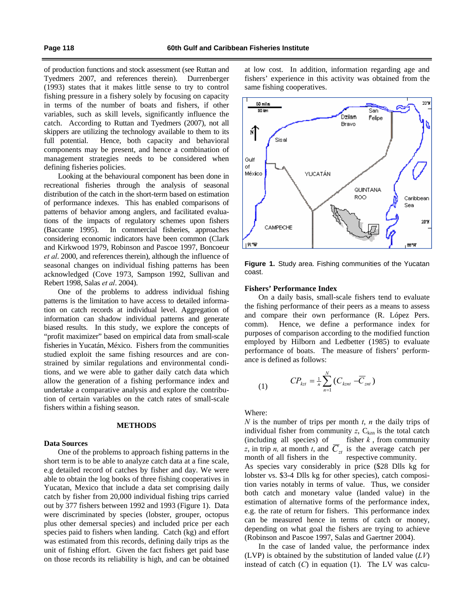of production functions and stock assessment (see Ruttan and Tyedmers 2007, and references therein). Durrenberger (1993) states that it makes little sense to try to control fishing pressure in a fishery solely by focusing on capacity in terms of the number of boats and fishers, if other variables, such as skill levels, significantly influence the catch. According to Ruttan and Tyedmers (2007), not all skippers are utilizing the technology available to them to its full potential. Hence, both capacity and behavioral components may be present, and hence a combination of management strategies needs to be considered when defining fisheries policies.

Looking at the behavioural component has been done in recreational fisheries through the analysis of seasonal distribution of the catch in the short-term based on estimation of performance indexes. This has enabled comparisons of patterns of behavior among anglers, and facilitated evaluations of the impacts of regulatory schemes upon fishers (Baccante 1995). In commercial fisheries, approaches considering economic indicators have been common (Clark and Kirkwood 1979, Robinson and Pascoe 1997, Boncoeur *et al*. 2000, and references therein), although the influence of seasonal changes on individual fishing patterns has been acknowledged (Cove 1973, Sampson 1992, Sullivan and Rebert 1998, Salas *et al*. 2004).

One of the problems to address individual fishing patterns is the limitation to have access to detailed information on catch records at individual level. Aggregation of information can shadow individual patterns and generate biased results. In this study, we explore the concepts of "profit maximizer" based on empirical data from small-scale fisheries in Yucatán, México. Fishers from the communities studied exploit the same fishing resources and are constrained by similar regulations and environmental conditions, and we were able to gather daily catch data which allow the generation of a fishing performance index and undertake a comparative analysis and explore the contribution of certain variables on the catch rates of small-scale fishers within a fishing season.

# **METHODS**

### **Data Sources**

One of the problems to approach fishing patterns in the short term is to be able to analyze catch data at a fine scale, e.g detailed record of catches by fisher and day. We were able to obtain the log books of three fishing cooperatives in Yucatan, Mexico that include a data set comprising daily catch by fisher from 20,000 individual fishing trips carried out by 377 fishers between 1992 and 1993 (Figure 1). Data were discriminated by species (lobster, grouper, octopus plus other demersal species) and included price per each species paid to fishers when landing. Catch (kg) and effort was estimated from this records, defining daily trips as the unit of fishing effort. Given the fact fishers get paid base on those records its reliability is high, and can be obtained at low cost. In addition, information regarding age and fishers' experience in this activity was obtained from the same fishing cooperatives.



**Figure 1.** Study area. Fishing communities of the Yucatan coast.

### **Fishers' Performance Index**

On a daily basis, small-scale fishers tend to evaluate the fishing performance of their peers as a means to assess and compare their own performance (R. López Pers. comm). Hence, we define a performance index for purposes of comparison according to the modified function employed by Hilborn and Ledbetter (1985) to evaluate performance of boats. The measure of fishers' performance is defined as follows:

(1) 
$$
CP_{kt} = \frac{1}{n} \sum_{n=1}^{N} (C_{kzn} - \overline{C}_{zn})
$$

Where:

*N* is the number of trips per month *t*, *n* the daily trips of individual fisher from community  $z$ ,  $C_{kzn}$  is the total catch (including all species) of fisher  $k$ , from community *z*, in trip *n*, at month *t*, and  $\overline{C}_{zt}$  is the average catch per month of all fishers in the respective community. As species vary considerably in price (\$28 Dlls kg for lobster vs. \$3-4 Dlls kg for other species), catch composition varies notably in terms of value. Thus, we consider both catch and monetary value (landed value) in the estimation of alternative forms of the performance index, e.g. the rate of return for fishers. This performance index can be measured hence in terms of catch or money, depending on what goal the fishers are trying to achieve (Robinson and Pascoe 1997, Salas and Gaertner 2004).

In the case of landed value, the performance index (LVP) is obtained by the substitution of landed value (*LV*) instead of catch (*C*) in equation (1). The LV was calcu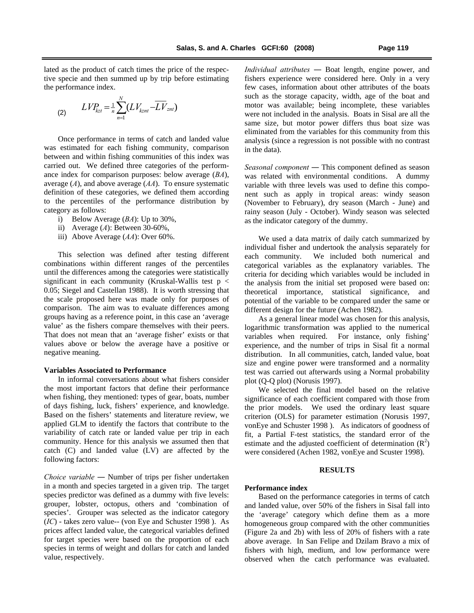lated as the product of catch times the price of the respective specie and then summed up by trip before estimating the performance index.

(2) 
$$
LVP_{kzt} = \frac{1}{n} \sum_{n=1}^{N} (LV_{kznt} - \overline{LV}_{znt})
$$

Once performance in terms of catch and landed value was estimated for each fishing community, comparison between and within fishing communities of this index was carried out. We defined three categories of the performance index for comparison purposes: below average (*BA*), average (*A*), and above average (*AA*). To ensure systematic definition of these categories, we defined them according to the percentiles of the performance distribution by category as follows:

- i) Below Average (*BA*): Up to 30%,
- ii) Average (*A*): Between 30-60%,
- iii) Above Average (*AA*): Over 60%.

This selection was defined after testing different combinations within different ranges of the percentiles until the differences among the categories were statistically significant in each community (Kruskal-Wallis test  $p <$ 0.05; Siegel and Castellan 1988). It is worth stressing that the scale proposed here was made only for purposes of comparison. The aim was to evaluate differences among groups having as a reference point, in this case an 'average value' as the fishers compare themselves with their peers. That does not mean that an 'average fisher' exists or that values above or below the average have a positive or negative meaning.

# **Variables Associated to Performance**

In informal conversations about what fishers consider the most important factors that define their performance when fishing, they mentioned: types of gear, boats, number of days fishing, luck, fishers' experience, and knowledge. Based on the fishers' statements and literature review, we applied GLM to identify the factors that contribute to the variability of catch rate or landed value per trip in each community. Hence for this analysis we assumed then that catch (C) and landed value (LV) are affected by the following factors:

*Choice variable ―* Number of trips per fisher undertaken in a month and species targeted in a given trip. The target species predictor was defined as a dummy with five levels: grouper, lobster, octopus, others and 'combination of species'. Grouper was selected as the indicator category (*IC*) - takes zero value-- (von Eye and Schuster 1998 ). As prices affect landed value, the categorical variables defined for target species were based on the proportion of each species in terms of weight and dollars for catch and landed value, respectively.

*Individual attributes ―* Boat length, engine power, and fishers experience were considered here. Only in a very few cases, information about other attributes of the boats such as the storage capacity, width, age of the boat and motor was available; being incomplete, these variables were not included in the analysis. Boats in Sisal are all the same size, but motor power differs thus boat size was eliminated from the variables for this community from this analysis (since a regression is not possible with no contrast in the data).

*Seasonal component ―* This component defined as season was related with environmental conditions. A dummy variable with three levels was used to define this component such as apply in tropical areas: windy season (November to February), dry season (March - June) and rainy season (July - October). Windy season was selected as the indicator category of the dummy.

We used a data matrix of daily catch summarized by individual fisher and undertook the analysis separately for each community. We included both numerical and categorical variables as the explanatory variables. The criteria for deciding which variables would be included in the analysis from the initial set proposed were based on: theoretical importance, statistical significance, and potential of the variable to be compared under the same or different design for the future (Achen 1982).

As a general linear model was chosen for this analysis, logarithmic transformation was applied to the numerical variables when required. For instance, only fishing' experience, and the number of trips in Sisal fit a normal distribution. In all communities, catch, landed value, boat size and engine power were transformed and a normality test was carried out afterwards using a Normal probability plot (Q-Q plot) (Norusis 1997).

We selected the final model based on the relative significance of each coefficient compared with those from the prior models. We used the ordinary least square criterion (OLS) for parameter estimation (Norusis 1997, vonEye and Schuster 1998 ). As indicators of goodness of fit, a Partial F-test statistics, the standard error of the estimate and the adjusted coefficient of determination  $(R^2)$ were considered (Achen 1982, vonEye and Scuster 1998).

### **RESULTS**

#### **Performance index**

Based on the performance categories in terms of catch and landed value, over 50% of the fishers in Sisal fall into the 'average' category which define them as a more homogeneous group compared with the other communities (Figure 2a and 2b) with less of 20% of fishers with a rate above average. In San Felipe and Dzilam Bravo a mix of fishers with high, medium, and low performance were observed when the catch performance was evaluated.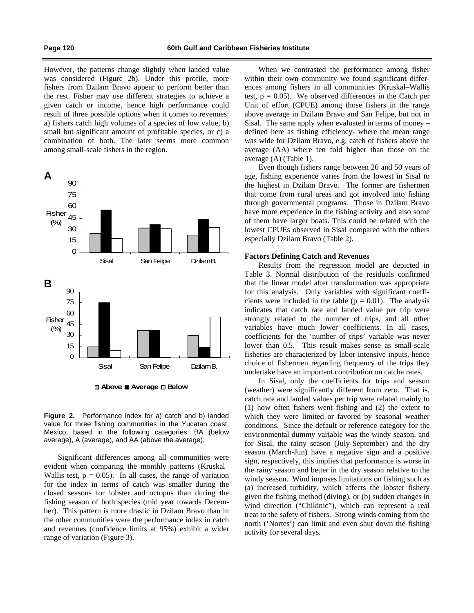However, the patterns change slightly when landed value was considered (Figure 2b). Under this profile, more fishers from Dzilam Bravo appear to perform better than the rest. Fisher may use different strategies to achieve a given catch or income, hence high performance could result of three possible options when it comes to revenues: a) fishers catch high volumes of a species of low value, b) small but significant amount of profitable species, or c) a combination of both. The later seems more common among small-scale fishers in the region.





**Figure 2.** Performance index for a) catch and b) landed value for three fishing communities in the Yucatan coast, Mexico, based in the following categories: BA (below average), A (average), and AA (above the average).

Significant differences among all communities were evident when comparing the monthly patterns (Kruskal– Wallis test,  $p = 0.05$ . In all cases, the range of variation for the index in terms of catch was smaller during the closed seasons for lobster and octopus than during the fishing season of both species (mid year towards December). This pattern is more drastic in Dzilam Bravo than in the other communities were the performance index in catch and revenues (confidence limits at 95%) exhibit a wider range of variation (Figure 3).

When we contrasted the performance among fisher within their own community we found significant differences among fishers in all communities (Kruskal–Wallis test,  $p = 0.05$ ). We observed differences in the Catch per Unit of effort (CPUE) among those fishers in the range above average in Dzilam Bravo and San Felipe, but not in Sisal. The same apply when evaluated in terms of money – defined here as fishing efficiency- where the mean range was wide for Dzilam Bravo, e.g, catch of fishers above the average (AA) where ten fold higher than those on the average (A) (Table 1).

Even though fishers range between 20 and 50 years of age, fishing experience varies from the lowest in Sisal to the highest in Dzilam Bravo. The former are fishermen that come from rural areas and got involved into fishing through governmental programs. Those in Dzilam Bravo have more experience in the fishing activity and also some of them have larger boats. This could be related with the lowest CPUEs observed in Sisal compared with the others especially Dzilam Bravo (Table 2).

### **Factors Defining Catch and Revenues**

Results from the regression model are depicted in Table 3. Normal distribution of the residuals confirmed that the linear model after transformation was appropriate for this analysis. Only variables with significant coefficients were included in the table ( $p = 0.01$ ). The analysis indicates that catch rate and landed value per trip were strongly related to the number of trips, and all other variables have much lower coefficients. In all cases, coefficients for the 'number of trips' variable was never lower than 0.5. This result makes sense as small-scale fisheries are characterized by labor intensive inputs, hence choice of fishermen regarding frequency of the trips they undertake have an important contribution on catcha rates.

In Sisal, only the coefficients for trips and season (weather) were significantly different from zero. That is, catch rate and landed values per trip were related mainly to (1) how often fishers went fishing and (2) the extent to which they were limited or favored by seasonal weather conditions. Since the default or reference category for the environmental dummy variable was the windy season, and for Sisal, the rainy season (July-September) and the dry season (March-Jun) have a negative sign and a positive sign, respectively, this implies that performance is worse in the rainy season and better in the dry season relative to the windy season. Wind imposes limitations on fishing such as (a) increased turbidity, which affects the lobster fishery given the fishing method (diving), or (b) sudden changes in wind direction ("Chikinic"), which can represent a real treat to the safety of fishers. Strong winds coming from the north ('Nortes') can limit and even shut down the fishing activity for several days.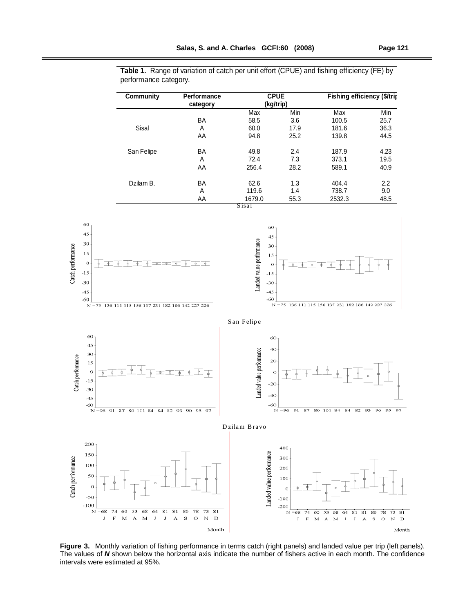|                                                                                 | <b>Community</b>                                                               | Performance<br>category                         |                                  | <b>CPUE</b><br>(kg/trip)                                            | Fishing efficiency (\$/trip                        |                      |
|---------------------------------------------------------------------------------|--------------------------------------------------------------------------------|-------------------------------------------------|----------------------------------|---------------------------------------------------------------------|----------------------------------------------------|----------------------|
|                                                                                 |                                                                                | BA                                              | Max<br>58.5                      | Min<br>3.6                                                          | Max<br>100.5                                       | Min<br>25.7          |
|                                                                                 | Sisal                                                                          | Α<br>AA                                         | 60.0<br>94.8                     | 17.9<br>25.2                                                        | 181.6<br>139.8                                     | 36.3<br>44.5         |
|                                                                                 | San Felipe                                                                     | BA<br>Α<br>AA                                   | 49.8<br>72.4<br>256.4            | 2.4<br>7.3<br>28.2                                                  | 187.9<br>373.1<br>589.1                            | 4.23<br>19.5<br>40.9 |
|                                                                                 | Dzilam B.                                                                      | BA<br>A<br>AA                                   | 62.6<br>119.6<br>1679.0<br>Sisal | 1.3<br>1.4<br>55.3                                                  | 404.4<br>738.7<br>2532.3                           | 2.2<br>9.0<br>48.5   |
| 60,<br>45 <sub>1</sub><br>30<br>15<br>$\circ$<br>$-15$<br>$-30$<br>$-45$<br>-60 | $\overline{\phantom{a}}$<br>N = 75 136 111 115 156 137 231 182 186 142 227 226 | $\overline{\phi}$ $\overline{\phi}$<br>- क<br>ф | Landed value performance         | 60<br>45<br>30<br>15<br>$\circ$<br>$-15$<br>$-30$<br>$-45$<br>$-60$ | N = 75 136 111 115 156 137 231 182 186 142 227 226 |                      |
|                                                                                 |                                                                                |                                                 | San Felipe                       |                                                                     |                                                    |                      |
| 60<br>45<br>30                                                                  |                                                                                |                                                 | mance                            | 60<br>40                                                            |                                                    |                      |

Catch performance

**Table 1.** Range of variation of catch per unit effort (CPUE) and fishing efficiency (FE) by performance category.



Figure 3. Monthly variation of fishing performance in terms catch (right panels) and landed value per trip (left panels). The values of *N* shown below the horizontal axis indicate the number of fishers active in each month. The confidence intervals were estimated at 95%.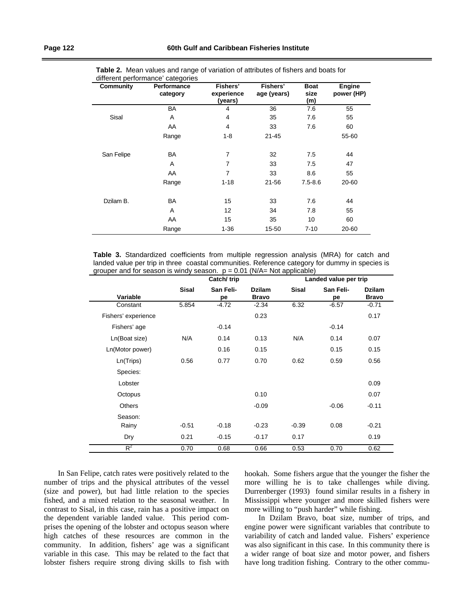| Community  | Performance<br>category | Fishers'<br>experience<br>(years) | Fishers'<br>age (years) | <b>Boat</b><br>size<br>(m) | Engine<br>power (HP) |
|------------|-------------------------|-----------------------------------|-------------------------|----------------------------|----------------------|
|            | BA                      | 4                                 | 36                      | 7.6                        | 55                   |
| Sisal      | A                       | 4                                 | 35                      | 7.6                        | 55                   |
|            | AA                      | 4                                 | 33                      | 7.6                        | 60                   |
|            | Range                   | $1 - 8$                           | $21 - 45$               |                            | 55-60                |
| San Felipe | BA                      | $\overline{7}$                    | 32                      | 7.5                        | 44                   |
|            | A                       | 7                                 | 33                      | 7.5                        | 47                   |
|            | AA                      | 7                                 | 33                      | 8.6                        | 55                   |
|            | Range                   | $1 - 18$                          | 21-56                   | $7.5 - 8.6$                | 20-60                |
| Dzilam B.  | BA                      | 15                                | 33                      | 7.6                        | 44                   |
|            | A                       | 12                                | 34                      | 7.8                        | 55                   |
|            | AA                      | 15                                | 35                      | 10                         | 60                   |
|            | Range                   | $1 - 36$                          | 15-50                   | $7 - 10$                   | 20-60                |

**Table 2.** Mean values and range of variation of attributes of fishers and boats for different performance' categories

**Table 3.** Standardized coefficients from multiple regression analysis (MRA) for catch and landed value per trip in three coastal communities. Reference category for dummy in species is grouper and for season is windy season.  $p = 0.01$  (N/A= Not applicable)

|                     | Catch/trip   |                 | Landed value per trip         |              |                 |                               |
|---------------------|--------------|-----------------|-------------------------------|--------------|-----------------|-------------------------------|
| Variable            | <b>Sisal</b> | San Feli-<br>рe | <b>Dzilam</b><br><b>Bravo</b> | <b>Sisal</b> | San Feli-<br>pe | <b>Dzilam</b><br><b>Bravo</b> |
| Constant            | 5.854        | $-4.72$         | $-2.34$                       | 6.32         | $-6.57$         | $-0.71$                       |
| Fishers' experience |              |                 | 0.23                          |              |                 | 0.17                          |
| Fishers' age        |              | $-0.14$         |                               |              | $-0.14$         |                               |
| Ln(Boat size)       | N/A          | 0.14            | 0.13                          | N/A          | 0.14            | 0.07                          |
| Ln(Motor power)     |              | 0.16            | 0.15                          |              | 0.15            | 0.15                          |
| Ln(Trips)           | 0.56         | 0.77            | 0.70                          | 0.62         | 0.59            | 0.56                          |
| Species:            |              |                 |                               |              |                 |                               |
| Lobster             |              |                 |                               |              |                 | 0.09                          |
| Octopus             |              |                 | 0.10                          |              |                 | 0.07                          |
| <b>Others</b>       |              |                 | $-0.09$                       |              | $-0.06$         | $-0.11$                       |
| Season:             |              |                 |                               |              |                 |                               |
| Rainy               | $-0.51$      | $-0.18$         | $-0.23$                       | $-0.39$      | 0.08            | $-0.21$                       |
| Dry                 | 0.21         | $-0.15$         | $-0.17$                       | 0.17         |                 | 0.19                          |
| $R^2$               | 0.70         | 0.68            | 0.66                          | 0.53         | 0.70            | 0.62                          |

In San Felipe, catch rates were positively related to the number of trips and the physical attributes of the vessel (size and power), but had little relation to the species fished, and a mixed relation to the seasonal weather. In contrast to Sisal, in this case, rain has a positive impact on the dependent variable landed value. This period comprises the opening of the lobster and octopus season where high catches of these resources are common in the community. In addition, fishers' age was a significant variable in this case. This may be related to the fact that lobster fishers require strong diving skills to fish with hookah. Some fishers argue that the younger the fisher the more willing he is to take challenges while diving. Durrenberger (1993) found similar results in a fishery in Mississippi where younger and more skilled fishers were more willing to "push harder" while fishing.

In Dzilam Bravo, boat size, number of trips, and engine power were significant variables that contribute to variability of catch and landed value. Fishers' experience was also significant in this case. In this community there is a wider range of boat size and motor power, and fishers have long tradition fishing. Contrary to the other commu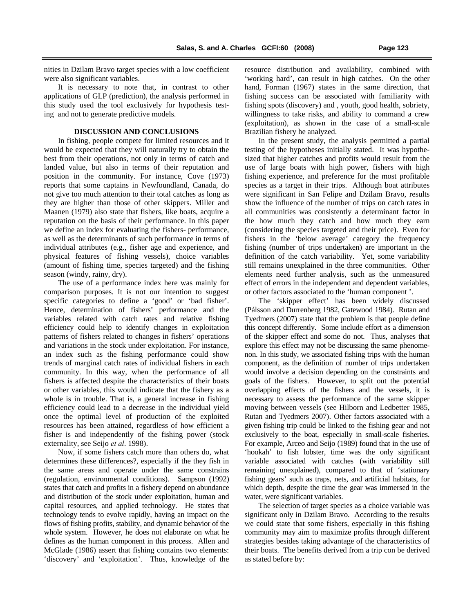nities in Dzilam Bravo target species with a low coefficient were also significant variables.

It is necessary to note that, in contrast to other applications of GLP (prediction), the analysis performed in this study used the tool exclusively for hypothesis testing and not to generate predictive models.

## **DISCUSSION AND CONCLUSIONS**

In fishing, people compete for limited resources and it would be expected that they will naturally try to obtain the best from their operations, not only in terms of catch and landed value, but also in terms of their reputation and position in the community. For instance, Cove (1973) reports that some captains in Newfoundland, Canada, do not give too much attention to their total catches as long as they are higher than those of other skippers. Miller and Maanen (1979) also state that fishers, like boats, acquire a reputation on the basis of their performance. In this paper we define an index for evaluating the fishers- performance, as well as the determinants of such performance in terms of individual attributes (e.g., fisher age and experience, and physical features of fishing vessels), choice variables (amount of fishing time, species targeted) and the fishing season (windy, rainy, dry).

The use of a performance index here was mainly for comparison purposes. It is not our intention to suggest specific categories to define a 'good' or 'bad fisher'. Hence, determination of fishers' performance and the variables related with catch rates and relative fishing efficiency could help to identify changes in exploitation patterns of fishers related to changes in fishers' operations and variations in the stock under exploitation. For instance, an index such as the fishing performance could show trends of marginal catch rates of individual fishers in each community. In this way, when the performance of all fishers is affected despite the characteristics of their boats or other variables, this would indicate that the fishery as a whole is in trouble. That is, a general increase in fishing efficiency could lead to a decrease in the individual yield once the optimal level of production of the exploited resources has been attained, regardless of how efficient a fisher is and independently of the fishing power (stock externality, see Seijo *et al*. 1998).

Now, if some fishers catch more than others do, what determines these differences?, especially if the they fish in the same areas and operate under the same constrains (regulation, environmental conditions). Sampson (1992) states that catch and profits in a fishery depend on abundance and distribution of the stock under exploitation, human and capital resources, and applied technology. He states that technology tends to evolve rapidly, having an impact on the flows of fishing profits, stability, and dynamic behavior of the whole system. However, he does not elaborate on what he defines as the human component in this process. Allen and McGlade (1986) assert that fishing contains two elements: 'discovery' and 'exploitation'. Thus, knowledge of the resource distribution and availability, combined with 'working hard', can result in high catches. On the other hand, Forman (1967) states in the same direction, that fishing success can be associated with familiarity with fishing spots (discovery) and , youth, good health, sobriety, willingness to take risks, and ability to command a crew (exploitation), as shown in the case of a small-scale Brazilian fishery he analyzed.

In the present study, the analysis permitted a partial testing of the hypotheses initially stated. It was hypothesized that higher catches and profits would result from the use of large boats with high power, fishers with high fishing experience, and preference for the most profitable species as a target in their trips. Although boat attributes were significant in San Felipe and Dzilam Bravo, results show the influence of the number of trips on catch rates in all communities was consistently a determinant factor in the how much they catch and how much they earn (considering the species targeted and their price). Even for fishers in the 'below average' category the frequency fishing (number of trips undertaken) are important in the definition of the catch variability. Yet, some variability still remains unexplained in the three communities. Other elements need further analysis, such as the unmeasured effect of errors in the independent and dependent variables, or other factors associated to the 'human component '.

The 'skipper effect' has been widely discussed (Pálsson and Durrenberg 1982, Gatewood 1984). Rutan and Tyedmers (2007) state that the problem is that people define this concept differently. Some include effort as a dimension of the skipper effect and some do not. Thus, analyses that explore this effect may not be discussing the same phenomenon. In this study, we associated fishing trips with the human component, as the definition of number of trips undertaken would involve a decision depending on the constraints and goals of the fishers. However, to split out the potential overlapping effects of the fishers and the vessels, it is necessary to assess the performance of the same skipper moving between vessels (see Hilborn and Ledbetter 1985, Rutan and Tyedmers 2007). Other factors associated with a given fishing trip could be linked to the fishing gear and not exclusively to the boat, especially in small-scale fisheries. For example, Arceo and Seijo (1989) found that in the use of 'hookah' to fish lobster, time was the only significant variable associated with catches (with variability still remaining unexplained), compared to that of 'stationary fishing gears' such as traps, nets, and artificial habitats, for which depth, despite the time the gear was immersed in the water, were significant variables.

The selection of target species as a choice variable was significant only in Dzilam Bravo. According to the results we could state that some fishers, especially in this fishing community may aim to maximize profits through different strategies besides taking advantage of the characteristics of their boats. The benefits derived from a trip con be derived as stated before by: